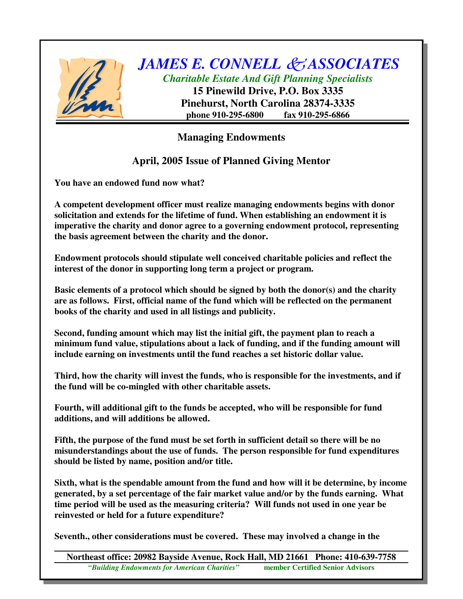

## *JAMES E. CONNELL ASSOCIATES Charitable Estate And Gift Planning Specialists*

**15 Pinewild Drive, P.O. Box 3335 Pinehurst, North Carolina 28374-3335 phone 910-295-6800 fax 910-295-6866**

## **Managing Endowments**

## **April, 2005 Issue of Planned Giving Mentor**

**You have an endowed fund now what?**

**A competent development officer must realize managing endowments begins with donor solicitation and extends for the lifetime of fund. When establishing an endowment it is imperative the charity and donor agree to a governing endowment protocol, representing the basis agreement between the charity and the donor.**

**Endowment protocols should stipulate well conceived charitable policies and reflect the interest of the donor in supporting long term a project or program.**

**Basic elements of a protocol which should be signed by both the donor(s) and the charity are as follows. First, official name of the fund which will be reflected on the permanent books of the charity and used in all listings and publicity.**

**Second, funding amount which may list the initial gift, the payment plan to reach a minimum fund value, stipulations about a lack of funding, and if the funding amount will include earning on investments until the fund reaches a set historic dollar value.**

**Third, how the charity will invest the funds, who is responsible for the investments, and if the fund will be co-mingled with other charitable assets.**

**Fourth, will additional gift to the funds be accepted, who will be responsible for fund additions, and will additions be allowed.**

**Fifth, the purpose of the fund must be set forth in sufficient detail so there will be no misunderstandings about the use of funds. The person responsible for fund expenditures should be listed by name, position and/or title.**

**Sixth, what is the spendable amount from the fund and how will it be determine, by income generated, by a set percentage of the fair market value and/or by the funds earning. What time period will be used as the measuring criteria? Will funds not used in one year be reinvested or held for a future expenditure?**

**Seventh., other considerations must be covered. These may involved a change in the**